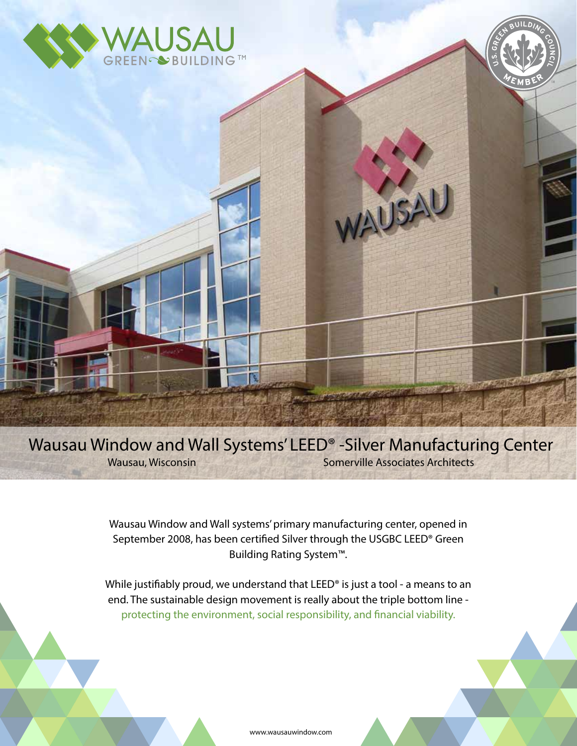



Wausau Window and Wall Systems' LEED® -Silver Manufacturing Center Wausau, Wisconsin Somerville Associates Architects

WAUSAL

Wausau Window and Wall systems' primary manufacturing center, opened in September 2008, has been certified Silver through the USGBC LEED® Green Building Rating System™.

While justifiably proud, we understand that LEED<sup>®</sup> is just a tool - a means to an end. The sustainable design movement is really about the triple bottom line protecting the environment, social responsibility, and financial viability.

www.wausauwindow.com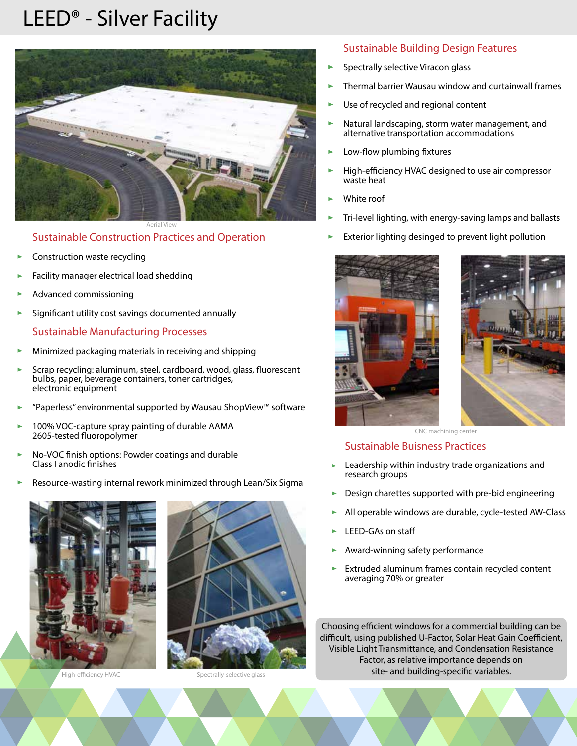## LEED® - Silver Facility



Sustainable Construction Practices and Operation

- Construction waste recycling
- Facility manager electrical load shedding
- Advanced commissioning
- Significant utility cost savings documented annually

#### Sustainable Manufacturing Processes

- Minimized packaging materials in receiving and shipping
- Scrap recycling: aluminum, steel, cardboard, wood, glass, fluorescent bulbs, paper, beverage containers, toner cartridges, electronic equipment
- "Paperless" environmental supported by Wausau ShopView™ software
- 100% VOC-capture spray painting of durable AAMA 2605-tested fluoropolymer
- No-VOC finish options: Powder coatings and durable Class I anodic finishes
- Resource-wasting internal rework minimized through Lean/Six Sigma ь





High-efficiency HVAC Spectrally-selective glass

#### Sustainable Building Design Features

- Spectrally selective Viracon glass
- Thermal barrier Wausau window and curtainwall frames
- Use of recycled and regional content
- Natural landscaping, storm water management, and alternative transportation accommodations
- Low-flow plumbing fixtures
- High-efficiency HVAC designed to use air compressor waste heat
- White roof
- Tri-level lighting, with energy-saving lamps and ballasts
- Exterior lighting desinged to prevent light pollution





CNC machining center

#### Sustainable Buisness Practices

- Leadership within industry trade organizations and research groups
- Design charettes supported with pre-bid engineering
- All operable windows are durable, cycle-tested AW-Class
- LEED-GAs on sta
- Award-winning safety performance
- Extruded aluminum frames contain recycled content averaging 70% or greater

Choosing efficient windows for a commercial building can be difficult, using published U-Factor, Solar Heat Gain Coefficient, Visible Light Transmittance, and Condensation Resistance Factor, as relative importance depends on site- and building-specific variables.

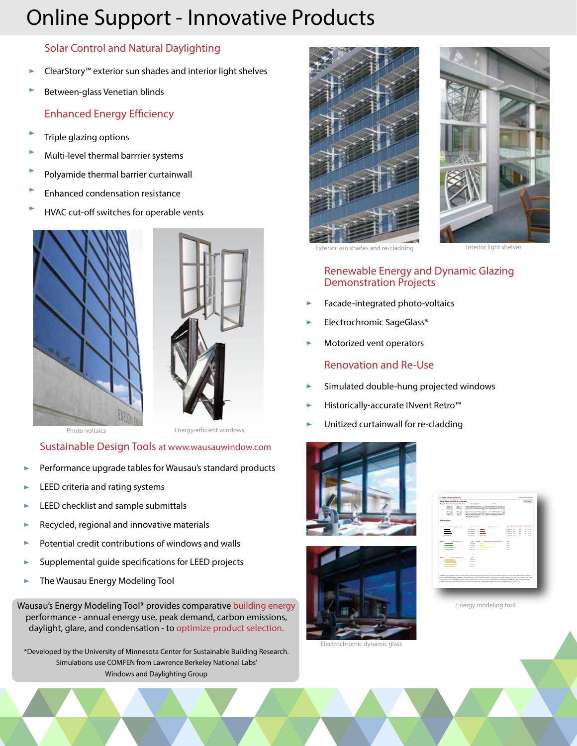# Online Support - Innovative Products

## Solar Control and Natural Daylighting

- ClearStory™ exterior sun shades and interior light shelves ь
- Between-glass Venetian blinds

## **Enhanced Energy Efficiency**

- Triple glazing options
- Multi-level thermal barrrier systems
- Polyamide thermal barrier curtainwall
- Enhanced condensation resistance
- HVAC cut-off switches for operable vents





Photo-voltaics **Energy-efficient windows** 

### Sustainable Design Tools at www.wausauwindow.com

- Performance upgrade tables for Wausau's standard products
- LEED criteria and rating systems
- LEED checklist and sample submittals
- Recycled, regional and innovative materials
- Potential credit contributions of windows and walls
- Supplemental quide specifications for LEED projects
- The Wausau Energy Modeling Tool Þ

Wausau's Energy Modeling Tool\* provides comparative building energy performance - annual energy use, peak demand, carbon emissions, daylight, glare, and condensation - to optimize product selection.

\*Developed by the University of Minnesota Center for Sustainable Building Research. Simulations use COMFEN from Lawrence Berkeley National Labs' Windows and Daylighting Group





Exterior sun shades and re-cladding **Interior light shelvest** 

### Renewable Energy and Dynamic Glazing Demonstration Projects

- Facade-integrated photo-voltaics
- Electrochromic SageGlass®
- Motorized vent operators

### Renovation and Re-Use

- Simulated double-hung projected windows
- Historically-accurate INvent Retro™
- Unitized curtainwall for re-cladding





Electrochromic dynamic glass

| Searante Orientation Window Wall Ratio<br>Francisco Scopers<br>Clurch<br>Hat-Performance (4/4) ALT: (4) Separate (4) Links (4) State (4) 11<br><b>Service</b><br><b>ADS</b><br>Hat-Performance (4/4) ALT: (4) Separate (4) Links (4) State (4) 11<br><b>FEW II</b><br><b>Kar</b><br>Hat-Performance (\$250.06.7) 1117 Virginia (#1-240/41-46.7) page 111<br>AP6.11<br><b>Lout</b><br>His Performance (\$250.06.7) 112 / Waster W1-24/W1-80 Trials AV<br>YES III<br>New 111<br>Modify Companiess:<br><b>Photo formula 100 DOM</b><br>Annual Room Grant & Miller<br>n.<br><b>Cost Court &amp; Miller</b><br><b>Bill 103 Bolley, Ford by Scott Service</b><br><b>TAN MARK</b><br><b><i>AMERICAN SAT</i></b><br><b>Security</b><br><b>ATM</b><br>$\overline{a}$<br><b>TARGETA</b><br><b><i>SWEATH ST</i></b><br><b>Silver</b><br>1.08<br>14<br>AFRICAN ART<br>$\sim$<br>-<br><b>WASHING</b><br>14.44<br>ASSESSED AND<br>14.44<br>-<br><b>WARRANT</b><br>$\sim$<br><b><i>SASA DIAK &amp; MOCK</i></b><br><b>Early Technical Indian was \$1.500</b><br>total<br><b>Box</b><br><b>TERRITOR</b><br><b>TABLE</b><br><b>MARGO</b><br><b>HALL</b><br>ü<br><b>STARTS</b><br><b>STATE</b><br>___<br><b>MARINE</b><br><b>HALL</b><br>i.<br><b>Statute Solid Street Adaptation</b><br><b>NA</b><br><b>TERRAS</b><br><b>STATISTICS</b><br>------<br>TORON |   | <b>Define Design Conditions to Company</b> |  |  |
|-------------------------------------------------------------------------------------------------------------------------------------------------------------------------------------------------------------------------------------------------------------------------------------------------------------------------------------------------------------------------------------------------------------------------------------------------------------------------------------------------------------------------------------------------------------------------------------------------------------------------------------------------------------------------------------------------------------------------------------------------------------------------------------------------------------------------------------------------------------------------------------------------------------------------------------------------------------------------------------------------------------------------------------------------------------------------------------------------------------------------------------------------------------------------------------------------------------------------------------------------------------------------------------------------------------------------------------------|---|--------------------------------------------|--|--|
| а<br>ä<br><b>New Companies</b><br>hands<br>$\cdots$<br>COMPEN, enterty modelets schools, detectored by the Windows and Davideline Group at Laurence Berludes National Lab, was used determine the databasely<br>for this book behaviour behaviour former of The assumptions for the simulations are based on a secondar owne effect module of 12 in width. 12 in death, and a 12 flam<br>Joultane helders. Windows and basic mounted and non-computer with no interior or exterior shading devices. His daulief-line continuous count. The sus and electric<br>selves for each location, enrulled by the Energy Information, Interioristication (reversals also apply, are full rates and are assessed by your 2006)                                                                                                                                                                                                                                                                                                                                                                                                                                                                                                                                                                                                                      |   |                                            |  |  |
|                                                                                                                                                                                                                                                                                                                                                                                                                                                                                                                                                                                                                                                                                                                                                                                                                                                                                                                                                                                                                                                                                                                                                                                                                                                                                                                                           | ï |                                            |  |  |
|                                                                                                                                                                                                                                                                                                                                                                                                                                                                                                                                                                                                                                                                                                                                                                                                                                                                                                                                                                                                                                                                                                                                                                                                                                                                                                                                           |   |                                            |  |  |
|                                                                                                                                                                                                                                                                                                                                                                                                                                                                                                                                                                                                                                                                                                                                                                                                                                                                                                                                                                                                                                                                                                                                                                                                                                                                                                                                           | ï |                                            |  |  |
|                                                                                                                                                                                                                                                                                                                                                                                                                                                                                                                                                                                                                                                                                                                                                                                                                                                                                                                                                                                                                                                                                                                                                                                                                                                                                                                                           |   |                                            |  |  |
|                                                                                                                                                                                                                                                                                                                                                                                                                                                                                                                                                                                                                                                                                                                                                                                                                                                                                                                                                                                                                                                                                                                                                                                                                                                                                                                                           |   |                                            |  |  |
|                                                                                                                                                                                                                                                                                                                                                                                                                                                                                                                                                                                                                                                                                                                                                                                                                                                                                                                                                                                                                                                                                                                                                                                                                                                                                                                                           |   |                                            |  |  |
|                                                                                                                                                                                                                                                                                                                                                                                                                                                                                                                                                                                                                                                                                                                                                                                                                                                                                                                                                                                                                                                                                                                                                                                                                                                                                                                                           |   |                                            |  |  |
|                                                                                                                                                                                                                                                                                                                                                                                                                                                                                                                                                                                                                                                                                                                                                                                                                                                                                                                                                                                                                                                                                                                                                                                                                                                                                                                                           |   |                                            |  |  |
|                                                                                                                                                                                                                                                                                                                                                                                                                                                                                                                                                                                                                                                                                                                                                                                                                                                                                                                                                                                                                                                                                                                                                                                                                                                                                                                                           |   |                                            |  |  |
|                                                                                                                                                                                                                                                                                                                                                                                                                                                                                                                                                                                                                                                                                                                                                                                                                                                                                                                                                                                                                                                                                                                                                                                                                                                                                                                                           |   |                                            |  |  |
|                                                                                                                                                                                                                                                                                                                                                                                                                                                                                                                                                                                                                                                                                                                                                                                                                                                                                                                                                                                                                                                                                                                                                                                                                                                                                                                                           |   |                                            |  |  |
|                                                                                                                                                                                                                                                                                                                                                                                                                                                                                                                                                                                                                                                                                                                                                                                                                                                                                                                                                                                                                                                                                                                                                                                                                                                                                                                                           |   |                                            |  |  |
|                                                                                                                                                                                                                                                                                                                                                                                                                                                                                                                                                                                                                                                                                                                                                                                                                                                                                                                                                                                                                                                                                                                                                                                                                                                                                                                                           |   |                                            |  |  |
|                                                                                                                                                                                                                                                                                                                                                                                                                                                                                                                                                                                                                                                                                                                                                                                                                                                                                                                                                                                                                                                                                                                                                                                                                                                                                                                                           |   |                                            |  |  |
|                                                                                                                                                                                                                                                                                                                                                                                                                                                                                                                                                                                                                                                                                                                                                                                                                                                                                                                                                                                                                                                                                                                                                                                                                                                                                                                                           |   |                                            |  |  |
|                                                                                                                                                                                                                                                                                                                                                                                                                                                                                                                                                                                                                                                                                                                                                                                                                                                                                                                                                                                                                                                                                                                                                                                                                                                                                                                                           |   |                                            |  |  |
|                                                                                                                                                                                                                                                                                                                                                                                                                                                                                                                                                                                                                                                                                                                                                                                                                                                                                                                                                                                                                                                                                                                                                                                                                                                                                                                                           |   |                                            |  |  |
|                                                                                                                                                                                                                                                                                                                                                                                                                                                                                                                                                                                                                                                                                                                                                                                                                                                                                                                                                                                                                                                                                                                                                                                                                                                                                                                                           |   |                                            |  |  |
|                                                                                                                                                                                                                                                                                                                                                                                                                                                                                                                                                                                                                                                                                                                                                                                                                                                                                                                                                                                                                                                                                                                                                                                                                                                                                                                                           |   |                                            |  |  |
|                                                                                                                                                                                                                                                                                                                                                                                                                                                                                                                                                                                                                                                                                                                                                                                                                                                                                                                                                                                                                                                                                                                                                                                                                                                                                                                                           |   |                                            |  |  |
|                                                                                                                                                                                                                                                                                                                                                                                                                                                                                                                                                                                                                                                                                                                                                                                                                                                                                                                                                                                                                                                                                                                                                                                                                                                                                                                                           |   |                                            |  |  |
|                                                                                                                                                                                                                                                                                                                                                                                                                                                                                                                                                                                                                                                                                                                                                                                                                                                                                                                                                                                                                                                                                                                                                                                                                                                                                                                                           |   |                                            |  |  |
|                                                                                                                                                                                                                                                                                                                                                                                                                                                                                                                                                                                                                                                                                                                                                                                                                                                                                                                                                                                                                                                                                                                                                                                                                                                                                                                                           |   |                                            |  |  |

Energy modeling tool